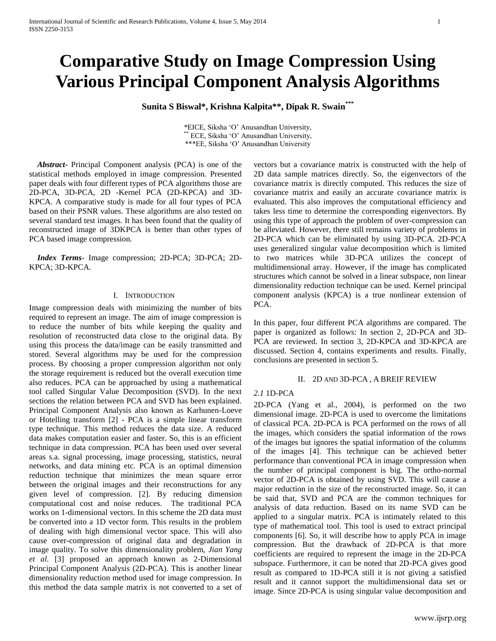# **Comparative Study on Image Compression Using Various Principal Component Analysis Algorithms**

**Sunita S Biswal\*, Krishna Kalpita\*\*, Dipak R. Swain\*\*\***

\*EICE, Siksha 'O' Anusandhan University, ECE, Siksha 'O' Anusandhan University, \*\*\*EE, Siksha 'O' Anusandhan University

 *Abstract***-** Principal Component analysis (PCA) is one of the statistical methods employed in image compression. Presented paper deals with four different types of PCA algorithms those are 2D-PCA, 3D-PCA, 2D -Kernel PCA (2D-KPCA) and 3D-KPCA. A comparative study is made for all four types of PCA based on their PSNR values. These algorithms are also tested on several standard test images. It has been found that the quality of reconstructed image of 3DKPCA is better than other types of PCA based image compression.

 *Index Terms*- Image compression; 2D-PCA; 3D-PCA; 2D-KPCA; 3D-KPCA.

# I. INTRODUCTION

Image compression deals with minimizing the number of bits required to represent an image. The aim of image compression is to reduce the number of bits while keeping the quality and resolution of reconstructed data close to the original data. By using this process the data/image can be easily transmitted and stored. Several algorithms may be used for the compression process. By choosing a proper compression algorithm not only the storage requirement is reduced but the overall execution time also reduces. PCA can be approached by using a mathematical tool called Singular Value Decomposition (SVD). In the next sections the relation between PCA and SVD has been explained. Principal Component Analysis also known as Karhunen-Loeve or Hotelling transform [2] - PCA is a simple linear transform type technique. This method reduces the data size. A reduced data makes computation easier and faster. So, this is an efficient technique in data compression. PCA has been used over several areas s.a. signal processing, image processing, statistics, neural networks, and data mining etc. PCA is an optimal dimension reduction technique that minimizes the mean square error between the original images and their reconstructions for any given level of compression. [2]. By reducing dimension computational cost and noise reduces. The traditional PCA works on 1-dimensional vectors. In this scheme the 2D data must be converted into a 1D vector form. This results in the problem of dealing with high dimensional vector space. This will also cause over-compression of original data and degradation in image quality. To solve this dimensionality problem, *Jian Yang et al.* [3] proposed an approach known as 2-Dimensional Principal Component Analysis (2D-PCA). This is another linear dimensionality reduction method used for image compression. In this method the data sample matrix is not converted to a set of

vectors but a covariance matrix is constructed with the help of 2D data sample matrices directly. So, the eigenvectors of the covariance matrix is directly computed. This reduces the size of covariance matrix and easily an accurate covariance matrix is evaluated. This also improves the computational efficiency and takes less time to determine the corresponding eigenvectors. By using this type of approach the problem of over-compression can be alleviated. However, there still remains variety of problems in 2D-PCA which can be eliminated by using 3D-PCA. 2D-PCA uses generalized singular value decomposition which is limited to two matrices while 3D-PCA utilizes the concept of multidimensional array. However, if the image has complicated structures which cannot be solved in a linear subspace, non linear dimensionality reduction technique can be used. Kernel principal component analysis (KPCA) is a true nonlinear extension of PCA.

In this paper, four different PCA algorithms are compared. The paper is organized as follows: In section 2, 2D-PCA and 3D-PCA are reviewed. In section 3, 2D-KPCA and 3D-KPCA are discussed. Section 4, contains experiments and results. Finally, conclusions are presented in section 5.

# II. 2D AND 3D-PCA , A BREIF REVIEW

# *2.1* 1D-PCA

2D-PCA (Yang et al., 2004), is performed on the two dimensional image. 2D-PCA is used to overcome the limitations of classical PCA. 2D-PCA is PCA performed on the rows of all the images, which considers the spatial information of the rows of the images but ignores the spatial information of the columns of the images [4]. This technique can be achieved better performance than conventional PCA in image compression when the number of principal component is big. The ortho-normal vector of 2D-PCA is obtained by using SVD. This will cause a major reduction in the size of the reconstructed image. So, it can be said that, SVD and PCA are the common techniques for analysis of data reduction. Based on its name SVD can be applied to a singular matrix. PCA is intimately related to this type of mathematical tool. This tool is used to extract principal components [6]. So, it will describe how to apply PCA in image compression. But the drawback of 2D-PCA is that more coefficients are required to represent the image in the 2D-PCA subspace. Furthermore, it can be noted that 2D-PCA gives good result as compared to 1D-PCA still it is not giving a satisfied result and it cannot support the multidimensional data set or image. Since 2D-PCA is using singular value decomposition and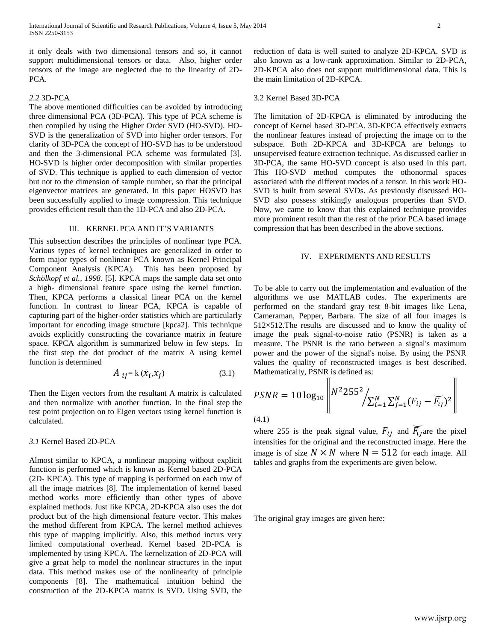it only deals with two dimensional tensors and so, it cannot support multidimensional tensors or data. Also, higher order tensors of the image are neglected due to the linearity of 2D-PCA.

## *2.2* 3D-PCA

The above mentioned difficulties can be avoided by introducing three dimensional PCA (3D-PCA). This type of PCA scheme is then compiled by using the Higher Order SVD (HO-SVD). HO-SVD is the generalization of SVD into higher order tensors. For clarity of 3D-PCA the concept of HO-SVD has to be understood and then the 3-dimensional PCA scheme was formulated [3]. HO-SVD is higher order decomposition with similar properties of SVD. This technique is applied to each dimension of vector but not to the dimension of sample number, so that the principal eigenvector matrices are generated. In this paper HOSVD has been successfully applied to image compression. This technique provides efficient result than the 1D-PCA and also 2D-PCA.

#### III. KERNEL PCA AND IT'S VARIANTS

This subsection describes the principles of nonlinear type PCA. Various types of kernel techniques are generalized in order to form major types of nonlinear PCA known as Kernel Principal Component Analysis (KPCA). This has been proposed by *Schölkopf et al., 1998*. [5]. KPCA maps the sample data set onto a high- dimensional feature space using the kernel function. Then, KPCA performs a classical linear PCA on the kernel function. In contrast to linear PCA, KPCA is capable of capturing part of the higher-order statistics which are particularly important for encoding image structure [kpca2]. This technique avoids explicitly constructing the covariance matrix in feature space. KPCA algorithm is summarized below in few steps. In the first step the dot product of the matrix A using kernel function is determined

$$
A_{ij} = k(x_i, x_j) \tag{3.1}
$$

Then the Eigen vectors from the resultant A matrix is calculated and then normalize with another function. In the final step the test point projection on to Eigen vectors using kernel function is calculated.

# *3.1* Kernel Based 2D-PCA

Almost similar to KPCA, a nonlinear mapping without explicit function is performed which is known as Kernel based 2D-PCA (2D- KPCA). This type of mapping is performed on each row of all the image matrices [8]. The implementation of kernel based method works more efficiently than other types of above explained methods. Just like KPCA, 2D-KPCA also uses the dot product but of the high dimensional feature vector. This makes the method different from KPCA. The kernel method achieves this type of mapping implicitly. Also, this method incurs very limited computational overhead. Kernel based 2D-PCA is implemented by using KPCA. The kernelization of 2D-PCA will give a great help to model the nonlinear structures in the input data. This method makes use of the nonlinearity of principle components [8]. The mathematical intuition behind the construction of the 2D-KPCA matrix is SVD. Using SVD, the

reduction of data is well suited to analyze 2D-KPCA. SVD is also known as a low-rank approximation. Similar to 2D-PCA, 2D-KPCA also does not support multidimensional data. This is the main limitation of 2D-KPCA.

#### 3.2 Kernel Based 3D-PCA

The limitation of 2D-KPCA is eliminated by introducing the concept of Kernel based 3D-PCA. 3D-KPCA effectively extracts the nonlinear features instead of projecting the image on to the subspace. Both 2D-KPCA and 3D-KPCA are belongs to unsupervised feature extraction technique. As discussed earlier in 3D-PCA, the same HO-SVD concept is also used in this part. This HO-SVD method computes the othonormal spaces associated with the different modes of a tensor. In this work HO-SVD is built from several SVDs. As previously discussed HO-SVD also possess strikingly analogous properties than SVD. Now, we came to know that this explained technique provides more prominent result than the rest of the prior PCA based image compression that has been described in the above sections.

## IV. EXPERIMENTS AND RESULTS

To be able to carry out the implementation and evaluation of the algorithms we use MATLAB codes. The experiments are performed on the standard gray test 8-bit images like Lena, Cameraman, Pepper, Barbara. The size of all four images is 512×512.The results are discussed and to know the quality of image the peak signal-to-noise ratio (PSNR) is taken as a measure. The PSNR is the ratio between a signal's maximum power and the power of the signal's noise. By using the PSNR values the quality of reconstructed images is best described. Mathematically, PSNR is defined as:  $\mathbf{u}$ 

$$
PSNR = 10 \log_{10} \left\[ N^2 255^2 / \sum_{i=1}^{N} \sum_{j=1}^{N} (F_{ij} - \widetilde{F_{ij}})^2 \right]
$$

(4.1)

where 255 is the peak signal value,  $F_{ij}$  and  $\overline{F}_{ij}$  are the pixel intensities for the original and the reconstructed image. Here the image is of size  $N \times N$  where  $N = 512$  for each image. All tables and graphs from the experiments are given below.

The original gray images are given here: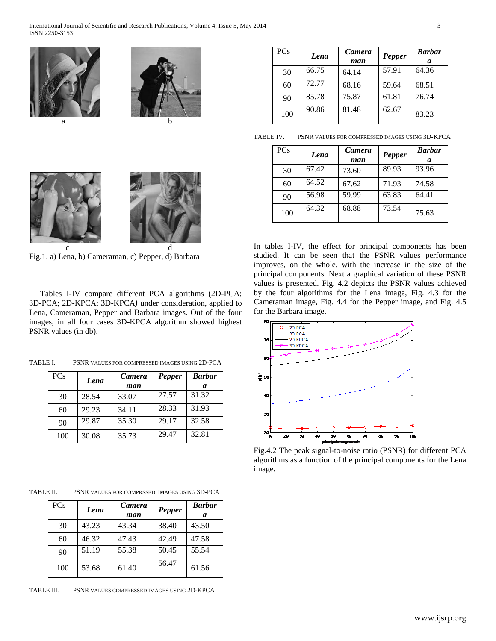



 c d Fig.1. a) Lena, b) Cameraman, c) Pepper, d) Barbara

Tables I-IV compare different PCA algorithms (2D-PCA; 3D-PCA; 2D-KPCA; 3D-KPCA*)* under consideration, applied to Lena, Cameraman, Pepper and Barbara images. Out of the four images, in all four cases 3D-KPCA algorithm showed highest PSNR values (in db).

TABLE I. PSNR VALUES FOR COMPRESSED IMAGES USING 2D-PCA

| <b>PCs</b> | Lena  | Camera | <b>Pepper</b> | <b>Barbar</b> |
|------------|-------|--------|---------------|---------------|
|            |       | man    |               | a             |
| 30         | 28.54 | 33.07  | 27.57         | 31.32         |
| 60         | 29.23 | 34.11  | 28.33         | 31.93         |
| 90         | 29.87 | 35.30  | 29.17         | 32.58         |
| 100        | 30.08 | 35.73  | 29.47         | 32.81         |

TABLE II. PSNR VALUES FOR COMPRSSED IMAGES USING 3D-PCA

| <b>PCs</b> | Lena  | <b>Camera</b> | Pepper | <b>Barbar</b> |
|------------|-------|---------------|--------|---------------|
|            |       | man           |        | a             |
| 30         | 43.23 | 43.34         | 38.40  | 43.50         |
| 60         | 46.32 | 47.43         | 42.49  | 47.58         |
| 90         | 51.19 | 55.38         | 50.45  | 55.54         |
| 100        | 53.68 | 61.40         | 56.47  | 61.56         |

TABLE III. PSNR VALUES COMPRESSED IMAGES USING 2D-KPCA

| <b>PCs</b> | Lena  | <b>Camera</b><br>man | Pepper | <b>Barbar</b><br>a |
|------------|-------|----------------------|--------|--------------------|
| 30         | 66.75 | 64.14                | 57.91  | 64.36              |
| 60         | 72.77 | 68.16                | 59.64  | 68.51              |
| 90         | 85.78 | 75.87                | 61.81  | 76.74              |
| 100        | 90.86 | 81.48                | 62.67  | 83.23              |

TABLE IV. PSNR VALUES FOR COMPRESSED IMAGES USING 3D-KPCA

| <b>PCs</b> | Lena  | <b>Camera</b><br>man | Pepper | <b>Barbar</b><br>a |
|------------|-------|----------------------|--------|--------------------|
| 30         | 67.42 | 73.60                | 89.93  | 93.96              |
| 60         | 64.52 | 67.62                | 71.93  | 74.58              |
| 90         | 56.98 | 59.99                | 63.83  | 64.41              |
| 100        | 64.32 | 68.88                | 73.54  | 75.63              |

In tables I-IV, the effect for principal components has been studied. It can be seen that the PSNR values performance improves, on the whole, with the increase in the size of the principal components. Next a graphical variation of these PSNR values is presented. Fig. 4.2 depicts the PSNR values achieved by the four algorithms for the Lena image, Fig. 4.3 for the Cameraman image, Fig. 4.4 for the Pepper image, and Fig. 4.5 for the Barbara image.



Fig.4.2 The peak signal-to-noise ratio (PSNR) for different PCA algorithms as a function of the principal components for the Lena image.